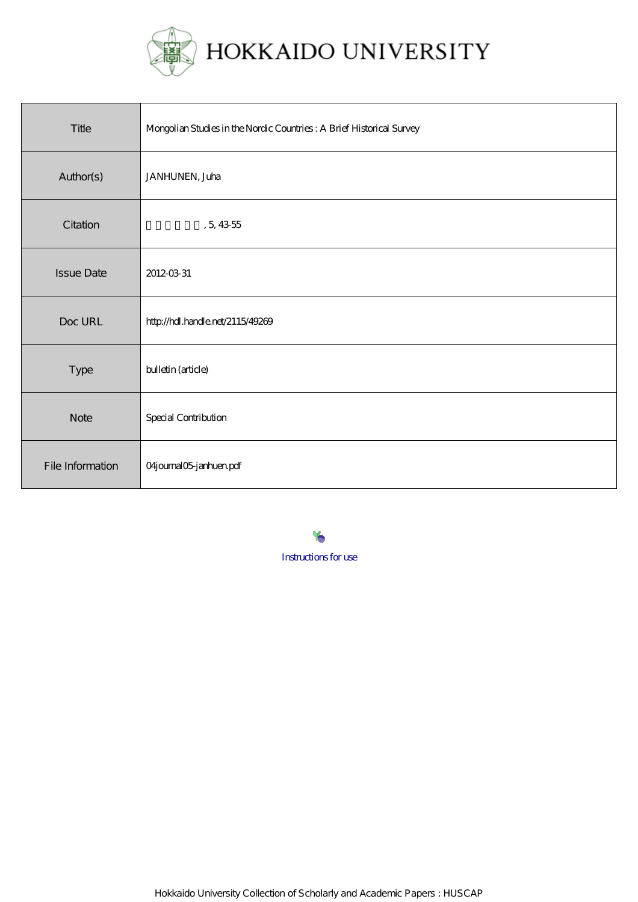

| Title             | Mongolian Studies in the Nordic Countries: A Brief Historical Survey |
|-------------------|----------------------------------------------------------------------|
| Author(s)         | JANHUNEN, Juha                                                       |
| Citation          | , 5, 4355                                                            |
| <b>Issue Date</b> | 2012-03-31                                                           |
| Doc URL           | http://hdl.handle.net/2115/49269                                     |
| Type              | bulletin (article)                                                   |
| <b>Note</b>       | <b>Special Contribution</b>                                          |
| File Information  | 04journal05janhuen.pdf                                               |

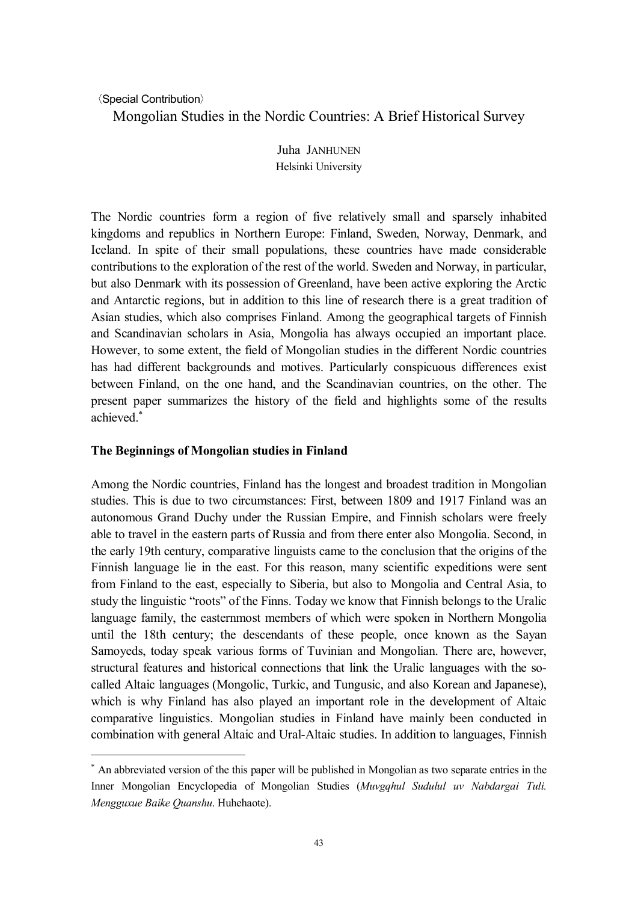# 〈Special Contribution〉

 $\overline{a}$ 

Mongolian Studies in the Nordic Countries: A Brief Historical Survey

Juha JANHUNEN Helsinki University

The Nordic countries form a region of five relatively small and sparsely inhabited kingdoms and republics in Northern Europe: Finland, Sweden, Norway, Denmark, and Iceland. In spite of their small populations, these countries have made considerable contributions to the exploration of the rest of the world. Sweden and Norway, in particular, but also Denmark with its possession of Greenland, have been active exploring the Arctic and Antarctic regions, but in addition to this line of research there is a great tradition of Asian studies, which also comprises Finland. Among the geographical targets of Finnish and Scandinavian scholars in Asia, Mongolia has always occupied an important place. However, to some extent, the field of Mongolian studies in the different Nordic countries has had different backgrounds and motives. Particularly conspicuous differences exist between Finland, on the one hand, and the Scandinavian countries, on the other. The present paper summarizes the history of the field and highlights some of the results achieved.\*

# **The Beginnings of Mongolian studies in Finland**

Among the Nordic countries, Finland has the longest and broadest tradition in Mongolian studies. This is due to two circumstances: First, between 1809 and 1917 Finland was an autonomous Grand Duchy under the Russian Empire, and Finnish scholars were freely able to travel in the eastern parts of Russia and from there enter also Mongolia. Second, in the early 19th century, comparative linguists came to the conclusion that the origins of the Finnish language lie in the east. For this reason, many scientific expeditions were sent from Finland to the east, especially to Siberia, but also to Mongolia and Central Asia, to study the linguistic "roots" of the Finns. Today we know that Finnish belongs to the Uralic language family, the easternmost members of which were spoken in Northern Mongolia until the 18th century; the descendants of these people, once known as the Sayan Samoyeds, today speak various forms of Tuvinian and Mongolian. There are, however, structural features and historical connections that link the Uralic languages with the socalled Altaic languages (Mongolic, Turkic, and Tungusic, and also Korean and Japanese), which is why Finland has also played an important role in the development of Altaic comparative linguistics. Mongolian studies in Finland have mainly been conducted in combination with general Altaic and Ural-Altaic studies. In addition to languages, Finnish

<sup>\*</sup> An abbreviated version of the this paper will be published in Mongolian as two separate entries in the Inner Mongolian Encyclopedia of Mongolian Studies (*Muvgqhul Sudulul uv Nabdargai Tuli. Mengguxue Baike Quanshu*. Huhehaote).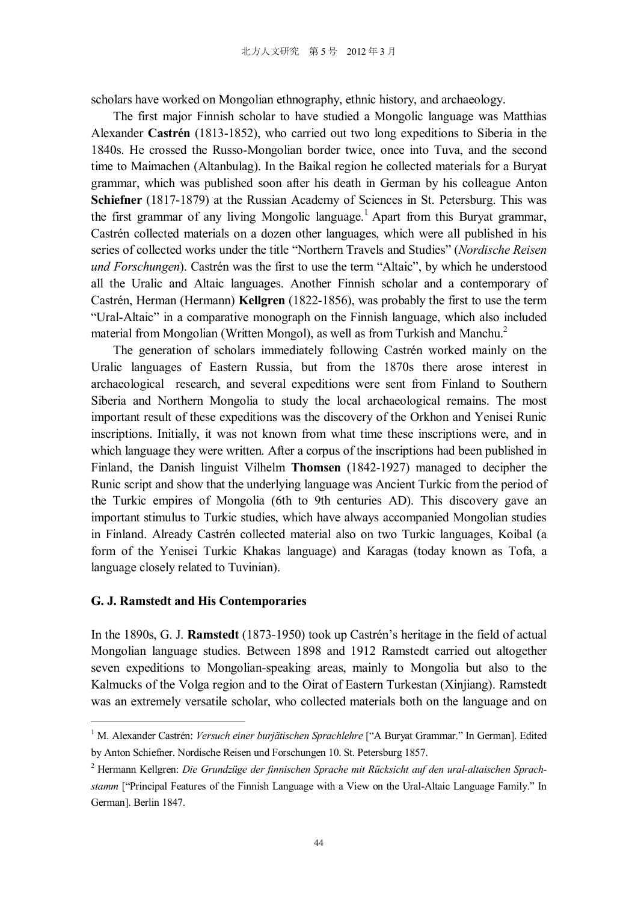scholars have worked on Mongolian ethnography, ethnic history, and archaeology.

The first major Finnish scholar to have studied a Mongolic language was Matthias Alexander **Castrén** (1813-1852), who carried out two long expeditions to Siberia in the 1840s. He crossed the Russo-Mongolian border twice, once into Tuva, and the second time to Maimachen (Altanbulag). In the Baikal region he collected materials for a Buryat grammar, which was published soon after his death in German by his colleague Anton **Schiefner** (1817-1879) at the Russian Academy of Sciences in St. Petersburg. This was the first grammar of any living Mongolic language. <sup>1</sup> Apart from this Buryat grammar, Castrén collected materials on a dozen other languages, which were all published in his series of collected works under the title "Northern Travels and Studies" (*Nordische Reisen und Forschungen*). Castrén was the first to use the term "Altaic", by which he understood all the Uralic and Altaic languages. Another Finnish scholar and a contemporary of Castrén, Herman (Hermann) **Kellgren** (1822-1856), was probably the first to use the term "Ural-Altaic" in a comparative monograph on the Finnish language, which also included material from Mongolian (Written Mongol), as well as from Turkish and Manchu.<sup>2</sup>

The generation of scholars immediately following Castrén worked mainly on the Uralic languages of Eastern Russia, but from the 1870s there arose interest in archaeological research, and several expeditions were sent from Finland to Southern Siberia and Northern Mongolia to study the local archaeological remains. The most important result of these expeditions was the discovery of the Orkhon and Yenisei Runic inscriptions. Initially, it was not known from what time these inscriptions were, and in which language they were written. After a corpus of the inscriptions had been published in Finland, the Danish linguist Vilhelm **Thomsen** (1842-1927) managed to decipher the Runic script and show that the underlying language was Ancient Turkic from the period of the Turkic empires of Mongolia (6th to 9th centuries AD). This discovery gave an important stimulus to Turkic studies, which have always accompanied Mongolian studies in Finland. Already Castrén collected material also on two Turkic languages, Koibal (a form of the Yenisei Turkic Khakas language) and Karagas (today known as Tofa, a language closely related to Tuvinian).

### **G. J. Ramstedt and His Contemporaries**

l

In the 1890s, G. J. **Ramstedt** (1873-1950) took up Castrén's heritage in the field of actual Mongolian language studies. Between 1898 and 1912 Ramstedt carried out altogether seven expeditions to Mongolian-speaking areas, mainly to Mongolia but also to the Kalmucks of the Volga region and to the Oirat of Eastern Turkestan (Xinjiang). Ramstedt was an extremely versatile scholar, who collected materials both on the language and on

<sup>1</sup> M. Alexander Castrén: *Versuch einer burjätischen Sprachlehre* ["A Buryat Grammar." In German]. Edited by Anton Schiefner. Nordische Reisen und Forschungen 10. St. Petersburg 1857.

<sup>2</sup> Hermann Kellgren: *Die Grundzüge der finnischen Sprache mit Rücksicht auf den ural-altaischen Sprachstamm* ["Principal Features of the Finnish Language with a View on the Ural-Altaic Language Family." In German]. Berlin 1847.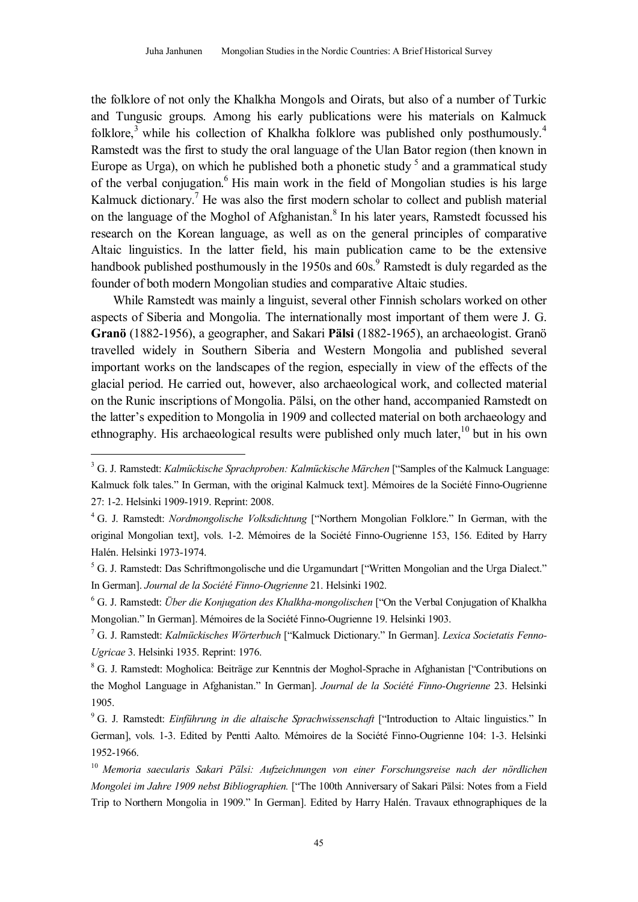the folklore of not only the Khalkha Mongols and Oirats, but also of a number of Turkic and Tungusic groups. Among his early publications were his materials on Kalmuck folklore,<sup>3</sup> while his collection of Khalkha folklore was published only posthumously.<sup>4</sup> Ramstedt was the first to study the oral language of the Ulan Bator region (then known in Europe as Urga), on which he published both a phonetic study  $5$  and a grammatical study of the verbal conjugation.<sup>6</sup> His main work in the field of Mongolian studies is his large Kalmuck dictionary.<sup>7</sup> He was also the first modern scholar to collect and publish material on the language of the Moghol of Afghanistan. 8 In his later years, Ramstedt focussed his research on the Korean language, as well as on the general principles of comparative Altaic linguistics. In the latter field, his main publication came to be the extensive handbook published posthumously in the 1950s and 60s.<sup>9</sup> Ramstedt is duly regarded as the founder of both modern Mongolian studies and comparative Altaic studies.

While Ramstedt was mainly a linguist, several other Finnish scholars worked on other aspects of Siberia and Mongolia. The internationally most important of them were J. G. **Granö** (1882-1956), a geographer, and Sakari **Pälsi** (1882-1965), an archaeologist. Granö travelled widely in Southern Siberia and Western Mongolia and published several important works on the landscapes of the region, especially in view of the effects of the glacial period. He carried out, however, also archaeological work, and collected material on the Runic inscriptions of Mongolia. Pälsi, on the other hand, accompanied Ramstedt on the latter's expedition to Mongolia in 1909 and collected material on both archaeology and ethnography. His archaeological results were published only much later,  $10$  but in his own

<sup>3</sup> G. J. Ramstedt: *Kalmückische Sprachproben: Kalmückische Märchen* ["Samples of the Kalmuck Language: Kalmuck folk tales." In German, with the original Kalmuck text]. Mémoires de la Société Finno-Ougrienne 27: 1-2. Helsinki 1909-1919. Reprint: 2008.

<sup>4</sup> G. J. Ramstedt: *Nordmongolische Volksdichtung* ["Northern Mongolian Folklore." In German, with the original Mongolian text], vols. 1-2. Mémoires de la Société Finno-Ougrienne 153, 156. Edited by Harry Halén. Helsinki 1973-1974.

<sup>5</sup> G. J. Ramstedt: Das Schriftmongolische und die Urgamundart ["Written Mongolian and the Urga Dialect." In German]. *Journal de la Société Finno-Ougrienne* 21. Helsinki 1902.

<sup>6</sup> G. J. Ramstedt: *Über die Konjugation des Khalkha-mongolischen* ["On the Verbal Conjugation of Khalkha Mongolian." In German]. Mémoires de la Société Finno-Ougrienne 19. Helsinki 1903.

<sup>7</sup> G. J. Ramstedt: *Kalmückisches Wörterbuch* ["Kalmuck Dictionary." In German]. *Lexica Societatis Fenno-Ugricae* 3. Helsinki 1935. Reprint: 1976.

<sup>8</sup> G. J. Ramstedt: Mogholica: Beiträge zur Kenntnis der Moghol-Sprache in Afghanistan ["Contributions on the Moghol Language in Afghanistan." In German]. *Journal de la Société Finno-Ougrienne* 23. Helsinki 1905.

<sup>9</sup> G. J. Ramstedt: *Einführung in die altaische Sprachwissenschaft* ["Introduction to Altaic linguistics." In German], vols. 1-3. Edited by Pentti Aalto. Mémoires de la Société Finno-Ougrienne 104: 1-3. Helsinki 1952-1966.

<sup>10</sup> *Memoria saecularis Sakari Pälsi: Aufzeichnungen von einer Forschungsreise nach der nördlichen Mongolei im Jahre 1909 nebst Bibliographien.* ["The 100th Anniversary of Sakari Pälsi: Notes from a Field Trip to Northern Mongolia in 1909." In German]. Edited by Harry Halén. Travaux ethnographiques de la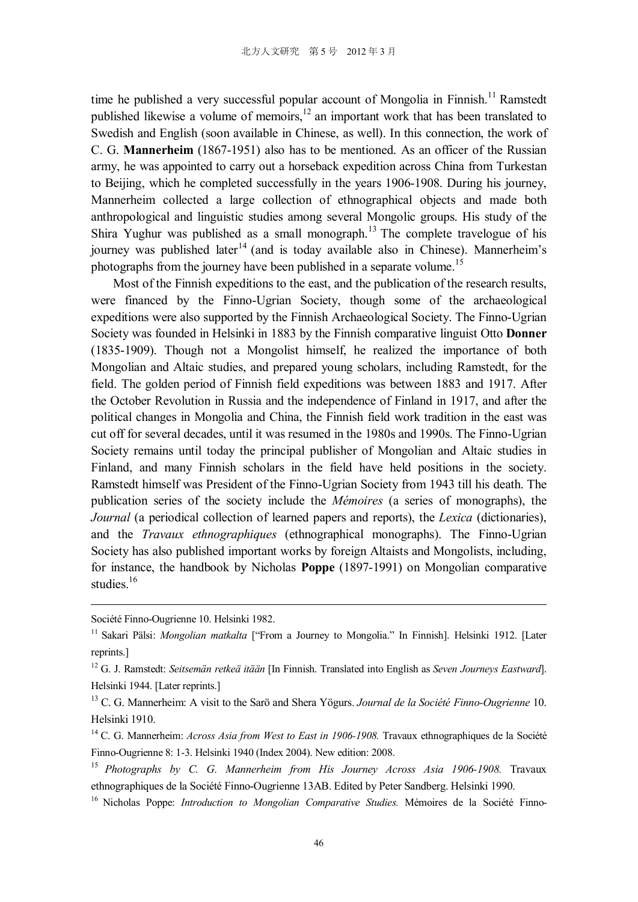time he published a very successful popular account of Mongolia in Finnish.<sup>11</sup> Ramstedt published likewise a volume of memoirs,  $12$  an important work that has been translated to Swedish and English (soon available in Chinese, as well). In this connection, the work of C. G. **Mannerheim** (1867-1951) also has to be mentioned. As an officer of the Russian army, he was appointed to carry out a horseback expedition across China from Turkestan to Beijing, which he completed successfully in the years 1906-1908. During his journey, Mannerheim collected a large collection of ethnographical objects and made both anthropological and linguistic studies among several Mongolic groups. His study of the Shira Yughur was published as a small monograph.<sup>13</sup> The complete travelogue of his journey was published later<sup>14</sup> (and is today available also in Chinese). Mannerheim's photographs from the journey have been published in a separate volume.<sup>15</sup>

Most of the Finnish expeditions to the east, and the publication of the research results, were financed by the Finno-Ugrian Society, though some of the archaeological expeditions were also supported by the Finnish Archaeological Society. The Finno-Ugrian Society was founded in Helsinki in 1883 by the Finnish comparative linguist Otto **Donner** (1835-1909). Though not a Mongolist himself, he realized the importance of both Mongolian and Altaic studies, and prepared young scholars, including Ramstedt, for the field. The golden period of Finnish field expeditions was between 1883 and 1917. After the October Revolution in Russia and the independence of Finland in 1917, and after the political changes in Mongolia and China, the Finnish field work tradition in the east was cut off for several decades, until it was resumed in the 1980s and 1990s. The Finno-Ugrian Society remains until today the principal publisher of Mongolian and Altaic studies in Finland, and many Finnish scholars in the field have held positions in the society. Ramstedt himself was President of the Finno-Ugrian Society from 1943 till his death. The publication series of the society include the *Mémoires* (a series of monographs), the *Journal* (a periodical collection of learned papers and reports), the *Lexica* (dictionaries), and the *Travaux ethnographiques* (ethnographical monographs). The Finno-Ugrian Society has also published important works by foreign Altaists and Mongolists, including, for instance, the handbook by Nicholas **Poppe** (1897-1991) on Mongolian comparative studies.<sup>16</sup>

Société Finno-Ougrienne 10. Helsinki 1982.

<sup>&</sup>lt;sup>11</sup> Sakari Pälsi: *Mongolian matkalta* ["From a Journey to Mongolia." In Finnish]. Helsinki 1912. [Later reprints.]

<sup>12</sup> G. J. Ramstedt: *Seitsemän retkeä itään* [In Finnish. Translated into English as *Seven Journeys Eastward*]. Helsinki 1944. [Later reprints.]

<sup>13</sup> C. G. Mannerheim: A visit to the Sarö and Shera Yögurs. *Journal de la Société Finno-Ougrienne* 10. Helsinki 1910.

<sup>&</sup>lt;sup>14</sup> C. G. Mannerheim: *Across Asia from West to East in 1906-1908*. Travaux ethnographiques de la Société Finno-Ougrienne 8: 1-3. Helsinki 1940 (Index 2004). New edition: 2008.

<sup>15</sup> *Photographs by C. G. Mannerheim from His Journey Across Asia 1906-1908.* Travaux ethnographiques de la Société Finno-Ougrienne 13AB. Edited by Peter Sandberg. Helsinki 1990.

<sup>16</sup> Nicholas Poppe: *Introduction to Mongolian Comparative Studies.* Mémoires de la Société Finno-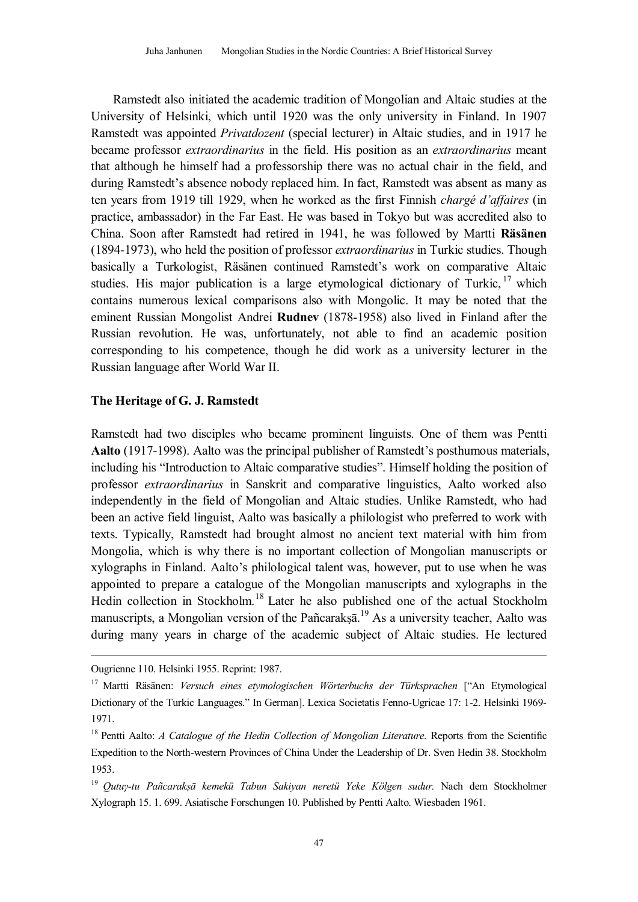Ramstedt also initiated the academic tradition of Mongolian and Altaic studies at the University of Helsinki, which until 1920 was the only university in Finland. In 1907 Ramstedt was appointed *Privatdozent* (special lecturer) in Altaic studies, and in 1917 he became professor *extraordinarius* in the field. His position as an *extraordinarius* meant that although he himself had a professorship there was no actual chair in the field, and during Ramstedt's absence nobody replaced him. In fact, Ramstedt was absent as many as ten years from 1919 till 1929, when he worked as the first Finnish *chargé d'affaires* (in practice, ambassador) in the Far East. He was based in Tokyo but was accredited also to China. Soon after Ramstedt had retired in 1941, he was followed by Martti **Räsänen** (1894-1973), who held the position of professor *extraordinarius* in Turkic studies. Though basically a Turkologist, Räsänen continued Ramstedt's work on comparative Altaic studies. His major publication is a large etymological dictionary of Turkic, <sup>17</sup> which contains numerous lexical comparisons also with Mongolic. It may be noted that the eminent Russian Mongolist Andrei **Rudnev** (1878-1958) also lived in Finland after the Russian revolution. He was, unfortunately, not able to find an academic position corresponding to his competence, though he did work as a university lecturer in the Russian language after World War II.

# **The Heritage of G. J. Ramstedt**

Ramstedt had two disciples who became prominent linguists. One of them was Pentti **Aalto** (1917-1998). Aalto was the principal publisher of Ramstedt's posthumous materials, including his "Introduction to Altaic comparative studies". Himself holding the position of professor *extraordinarius* in Sanskrit and comparative linguistics, Aalto worked also independently in the field of Mongolian and Altaic studies. Unlike Ramstedt, who had been an active field linguist, Aalto was basically a philologist who preferred to work with texts. Typically, Ramstedt had brought almost no ancient text material with him from Mongolia, which is why there is no important collection of Mongolian manuscripts or xylographs in Finland. Aalto's philological talent was, however, put to use when he was appointed to prepare a catalogue of the Mongolian manuscripts and xylographs in the Hedin collection in Stockholm.<sup>18</sup> Later he also published one of the actual Stockholm manuscripts, a Mongolian version of the Pañcarakṣā.<sup>19</sup> As a university teacher, Aalto was during many years in charge of the academic subject of Altaic studies. He lectured

Ougrienne 110. Helsinki 1955. Reprint: 1987.

<sup>17</sup> Martti Räsänen: *Versuch eines etymologischen Wörterbuchs der Türksprachen* ["An Etymological Dictionary of the Turkic Languages." In German]. Lexica Societatis Fenno-Ugricae 17: 1-2. Helsinki 1969- 1971.

<sup>18</sup> Pentti Aalto: *A Catalogue of the Hedin Collection of Mongolian Literature.* Reports from the Scientific Expedition to the North-western Provinces of China Under the Leadership of Dr. Sven Hedin 38. Stockholm 1953.

<sup>19</sup> *Qutuγ-tu Pañcarakṣā kemekü Tabun Sakiyan neretü Yeke Kölgen sudur.* Nach dem Stockholmer Xylograph 15. 1. 699. Asiatische Forschungen 10. Published by Pentti Aalto. Wiesbaden 1961.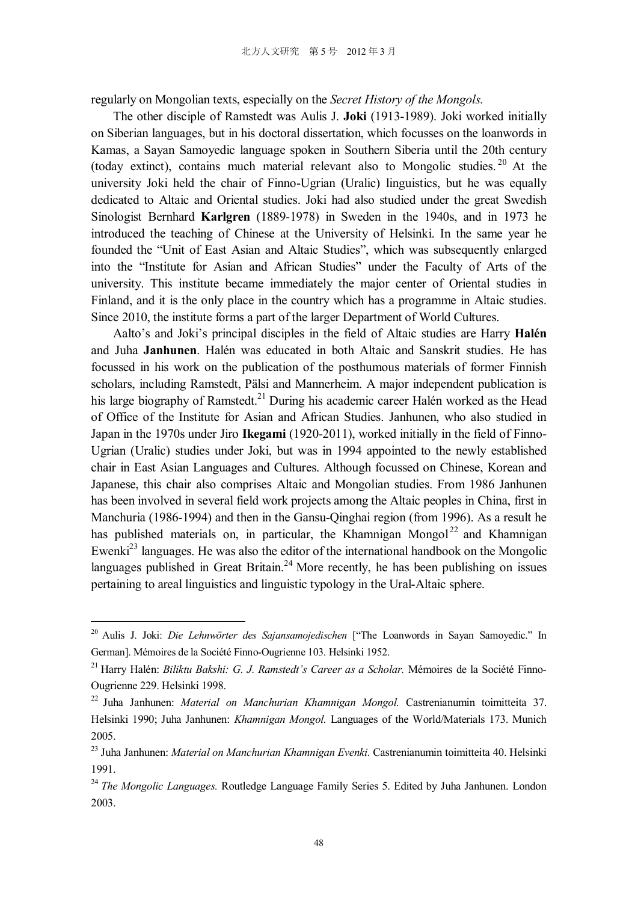regularly on Mongolian texts, especially on the *Secret History of the Mongols.* 

The other disciple of Ramstedt was Aulis J. **Joki** (1913-1989). Joki worked initially on Siberian languages, but in his doctoral dissertation, which focusses on the loanwords in Kamas, a Sayan Samoyedic language spoken in Southern Siberia until the 20th century (today extinct), contains much material relevant also to Mongolic studies. <sup>20</sup> At the university Joki held the chair of Finno-Ugrian (Uralic) linguistics, but he was equally dedicated to Altaic and Oriental studies. Joki had also studied under the great Swedish Sinologist Bernhard **Karlgren** (1889-1978) in Sweden in the 1940s, and in 1973 he introduced the teaching of Chinese at the University of Helsinki. In the same year he founded the "Unit of East Asian and Altaic Studies", which was subsequently enlarged into the "Institute for Asian and African Studies" under the Faculty of Arts of the university. This institute became immediately the major center of Oriental studies in Finland, and it is the only place in the country which has a programme in Altaic studies. Since 2010, the institute forms a part of the larger Department of World Cultures.

Aalto's and Joki's principal disciples in the field of Altaic studies are Harry **Halén** and Juha **Janhunen**. Halén was educated in both Altaic and Sanskrit studies. He has focussed in his work on the publication of the posthumous materials of former Finnish scholars, including Ramstedt, Pälsi and Mannerheim. A major independent publication is his large biography of Ramstedt.<sup>21</sup> During his academic career Halén worked as the Head of Office of the Institute for Asian and African Studies. Janhunen, who also studied in Japan in the 1970s under Jiro **Ikegami** (1920-2011), worked initially in the field of Finno-Ugrian (Uralic) studies under Joki, but was in 1994 appointed to the newly established chair in East Asian Languages and Cultures. Although focussed on Chinese, Korean and Japanese, this chair also comprises Altaic and Mongolian studies. From 1986 Janhunen has been involved in several field work projects among the Altaic peoples in China, first in Manchuria (1986-1994) and then in the Gansu-Qinghai region (from 1996). As a result he has published materials on, in particular, the Khamnigan Mongol<sup>22</sup> and Khamnigan Ewenki<sup>23</sup> languages. He was also the editor of the international handbook on the Mongolic languages published in Great Britain.<sup>24</sup> More recently, he has been publishing on issues pertaining to areal linguistics and linguistic typology in the Ural-Altaic sphere.

<sup>20</sup> Aulis J. Joki: *Die Lehnwörter des Sajansamojedischen* ["The Loanwords in Sayan Samoyedic." In German]. Mémoires de la Société Finno-Ougrienne 103. Helsinki 1952.

<sup>21</sup> Harry Halén: *Biliktu Bakshi: G. J. Ramstedt's Career as a Scholar.* Mémoires de la Société Finno-Ougrienne 229. Helsinki 1998.

<sup>22</sup> Juha Janhunen: *Material on Manchurian Khamnigan Mongol.* Castrenianumin toimitteita 37. Helsinki 1990; Juha Janhunen: *Khamnigan Mongol.* Languages of the World/Materials 173. Munich 2005.

<sup>23</sup> Juha Janhunen: *Material on Manchurian Khamnigan Evenki.* Castrenianumin toimitteita 40. Helsinki 1991.

<sup>24</sup> *The Mongolic Languages.* Routledge Language Family Series 5. Edited by Juha Janhunen. London 2003.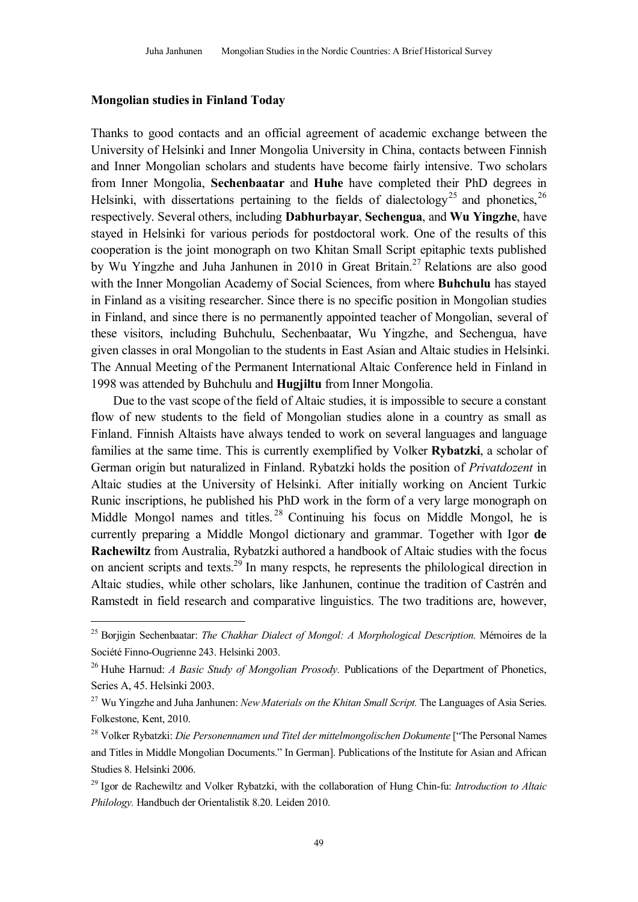### **Mongolian studies in Finland Today**

 $\overline{a}$ 

Thanks to good contacts and an official agreement of academic exchange between the University of Helsinki and Inner Mongolia University in China, contacts between Finnish and Inner Mongolian scholars and students have become fairly intensive. Two scholars from Inner Mongolia, **Sechenbaatar** and **Huhe** have completed their PhD degrees in Helsinki, with dissertations pertaining to the fields of dialectology<sup>25</sup> and phonetics,  $2^6$ respectively. Several others, including **Dabhurbayar**, **Sechengua**, and **Wu Yingzhe**, have stayed in Helsinki for various periods for postdoctoral work. One of the results of this cooperation is the joint monograph on two Khitan Small Script epitaphic texts published by Wu Yingzhe and Juha Janhunen in 2010 in Great Britain.<sup>27</sup> Relations are also good with the Inner Mongolian Academy of Social Sciences, from where **Buhchulu** has stayed in Finland as a visiting researcher. Since there is no specific position in Mongolian studies in Finland, and since there is no permanently appointed teacher of Mongolian, several of these visitors, including Buhchulu, Sechenbaatar, Wu Yingzhe, and Sechengua, have given classes in oral Mongolian to the students in East Asian and Altaic studies in Helsinki. The Annual Meeting of the Permanent International Altaic Conference held in Finland in 1998 was attended by Buhchulu and **Hugjiltu** from Inner Mongolia.

Due to the vast scope of the field of Altaic studies, it is impossible to secure a constant flow of new students to the field of Mongolian studies alone in a country as small as Finland. Finnish Altaists have always tended to work on several languages and language families at the same time. This is currently exemplified by Volker **Rybatzki**, a scholar of German origin but naturalized in Finland. Rybatzki holds the position of *Privatdozent* in Altaic studies at the University of Helsinki. After initially working on Ancient Turkic Runic inscriptions, he published his PhD work in the form of a very large monograph on Middle Mongol names and titles.<sup>28</sup> Continuing his focus on Middle Mongol, he is currently preparing a Middle Mongol dictionary and grammar. Together with Igor **de Rachewiltz** from Australia, Rybatzki authored a handbook of Altaic studies with the focus on ancient scripts and texts.<sup>29</sup> In many respcts, he represents the philological direction in Altaic studies, while other scholars, like Janhunen, continue the tradition of Castrén and Ramstedt in field research and comparative linguistics. The two traditions are, however,

<sup>25</sup> Borjigin Sechenbaatar: *The Chakhar Dialect of Mongol: A Morphological Description.* Mémoires de la Société Finno-Ougrienne 243. Helsinki 2003.

<sup>26</sup> Huhe Harnud: *A Basic Study of Mongolian Prosody.* Publications of the Department of Phonetics, Series A, 45. Helsinki 2003.

<sup>27</sup> Wu Yingzhe and Juha Janhunen: *New Materials on the Khitan Small Script.* The Languages of Asia Series. Folkestone, Kent, 2010.

<sup>28</sup> Volker Rybatzki: *Die Personennamen und Titel der mittelmongolischen Dokumente* ["The Personal Names and Titles in Middle Mongolian Documents." In German]. Publications of the Institute for Asian and African Studies 8. Helsinki 2006.

<sup>29</sup> Igor de Rachewiltz and Volker Rybatzki, with the collaboration of Hung Chin-fu: *Introduction to Altaic Philology.* Handbuch der Orientalistik 8.20. Leiden 2010.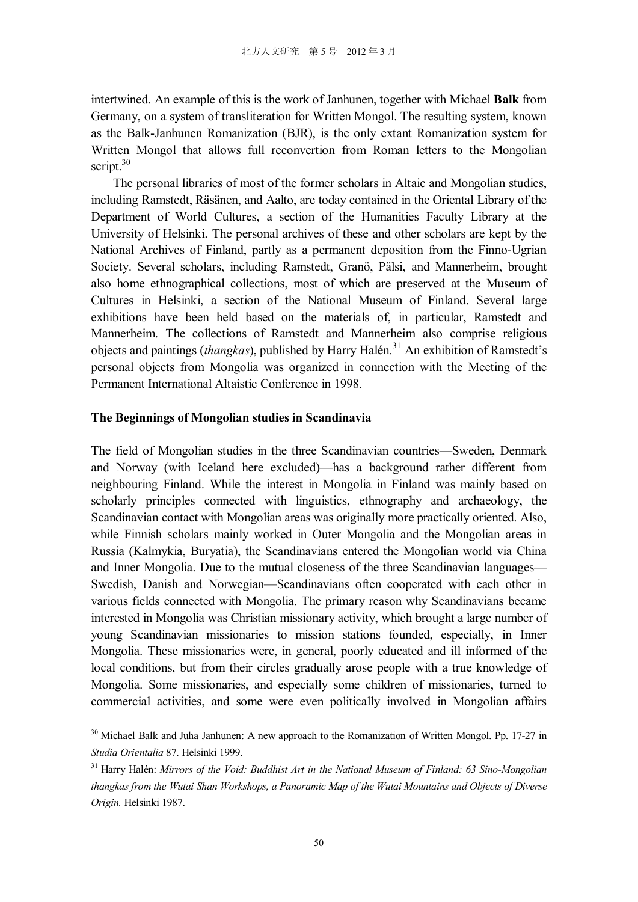intertwined. An example of this is the work of Janhunen, together with Michael **Balk** from Germany, on a system of transliteration for Written Mongol. The resulting system, known as the Balk-Janhunen Romanization (BJR), is the only extant Romanization system for Written Mongol that allows full reconvertion from Roman letters to the Mongolian script. 30

The personal libraries of most of the former scholars in Altaic and Mongolian studies, including Ramstedt, Räsänen, and Aalto, are today contained in the Oriental Library of the Department of World Cultures, a section of the Humanities Faculty Library at the University of Helsinki. The personal archives of these and other scholars are kept by the National Archives of Finland, partly as a permanent deposition from the Finno-Ugrian Society. Several scholars, including Ramstedt, Granö, Pälsi, and Mannerheim, brought also home ethnographical collections, most of which are preserved at the Museum of Cultures in Helsinki, a section of the National Museum of Finland. Several large exhibitions have been held based on the materials of, in particular, Ramstedt and Mannerheim. The collections of Ramstedt and Mannerheim also comprise religious objects and paintings (*thangkas*), published by Harry Halén. <sup>31</sup> An exhibition of Ramstedt's personal objects from Mongolia was organized in connection with the Meeting of the Permanent International Altaistic Conference in 1998.

### **The Beginnings of Mongolian studies in Scandinavia**

l

The field of Mongolian studies in the three Scandinavian countries—Sweden, Denmark and Norway (with Iceland here excluded)—has a background rather different from neighbouring Finland. While the interest in Mongolia in Finland was mainly based on scholarly principles connected with linguistics, ethnography and archaeology, the Scandinavian contact with Mongolian areas was originally more practically oriented. Also, while Finnish scholars mainly worked in Outer Mongolia and the Mongolian areas in Russia (Kalmykia, Buryatia), the Scandinavians entered the Mongolian world via China and Inner Mongolia. Due to the mutual closeness of the three Scandinavian languages— Swedish, Danish and Norwegian—Scandinavians often cooperated with each other in various fields connected with Mongolia. The primary reason why Scandinavians became interested in Mongolia was Christian missionary activity, which brought a large number of young Scandinavian missionaries to mission stations founded, especially, in Inner Mongolia. These missionaries were, in general, poorly educated and ill informed of the local conditions, but from their circles gradually arose people with a true knowledge of Mongolia. Some missionaries, and especially some children of missionaries, turned to commercial activities, and some were even politically involved in Mongolian affairs

<sup>&</sup>lt;sup>30</sup> Michael Balk and Juha Janhunen: A new approach to the Romanization of Written Mongol. Pp. 17-27 in *Studia Orientalia* 87. Helsinki 1999.

<sup>31</sup> Harry Halén: *Mirrors of the Void: Buddhist Art in the National Museum of Finland: 63 Sino-Mongolian thangkas from the Wutai Shan Workshops, a Panoramic Map of the Wutai Mountains and Objects of Diverse Origin.* Helsinki 1987.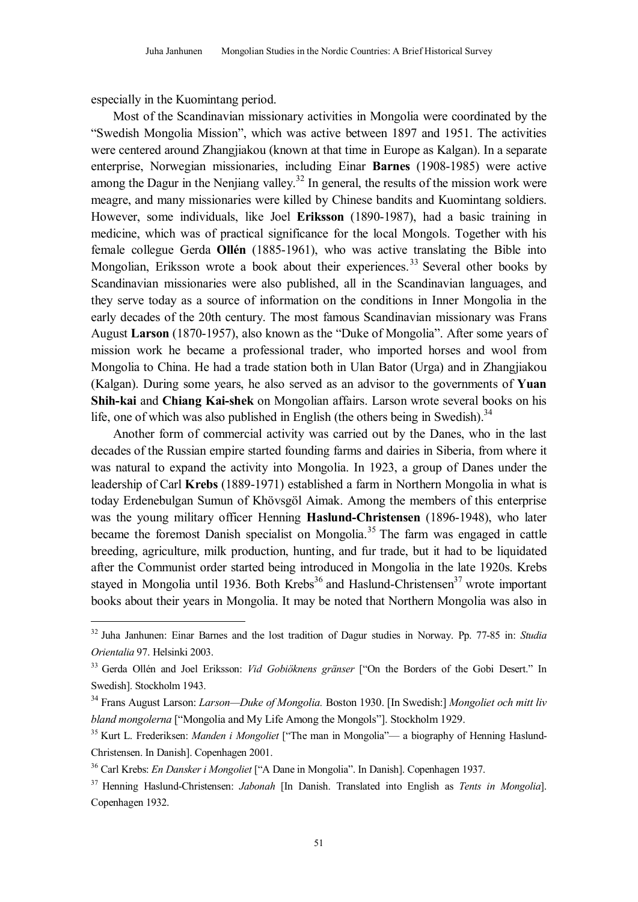especially in the Kuomintang period.

 $\overline{a}$ 

Most of the Scandinavian missionary activities in Mongolia were coordinated by the "Swedish Mongolia Mission", which was active between 1897 and 1951. The activities were centered around Zhangjiakou (known at that time in Europe as Kalgan). In a separate enterprise, Norwegian missionaries, including Einar **Barnes** (1908-1985) were active among the Dagur in the Nenjiang valley.<sup>32</sup> In general, the results of the mission work were meagre, and many missionaries were killed by Chinese bandits and Kuomintang soldiers. However, some individuals, like Joel **Eriksson** (1890-1987), had a basic training in medicine, which was of practical significance for the local Mongols. Together with his female collegue Gerda **Ollén** (1885-1961), who was active translating the Bible into Mongolian, Eriksson wrote a book about their experiences.<sup>33</sup> Several other books by Scandinavian missionaries were also published, all in the Scandinavian languages, and they serve today as a source of information on the conditions in Inner Mongolia in the early decades of the 20th century. The most famous Scandinavian missionary was Frans August **Larson** (1870-1957), also known as the "Duke of Mongolia". After some years of mission work he became a professional trader, who imported horses and wool from Mongolia to China. He had a trade station both in Ulan Bator (Urga) and in Zhangjiakou (Kalgan). During some years, he also served as an advisor to the governments of **Yuan Shih-kai** and **Chiang Kai-shek** on Mongolian affairs. Larson wrote several books on his life, one of which was also published in English (the others being in Swedish).<sup>34</sup>

Another form of commercial activity was carried out by the Danes, who in the last decades of the Russian empire started founding farms and dairies in Siberia, from where it was natural to expand the activity into Mongolia. In 1923, a group of Danes under the leadership of Carl **Krebs** (1889-1971) established a farm in Northern Mongolia in what is today Erdenebulgan Sumun of Khövsgöl Aimak. Among the members of this enterprise was the young military officer Henning **Haslund-Christensen** (1896-1948), who later became the foremost Danish specialist on Mongolia.<sup>35</sup> The farm was engaged in cattle breeding, agriculture, milk production, hunting, and fur trade, but it had to be liquidated after the Communist order started being introduced in Mongolia in the late 1920s. Krebs stayed in Mongolia until 1936. Both Krebs $36$  and Haslund-Christensen $37$  wrote important books about their years in Mongolia. It may be noted that Northern Mongolia was also in

<sup>32</sup> Juha Janhunen: Einar Barnes and the lost tradition of Dagur studies in Norway. Pp. 77-85 in: *Studia Orientalia* 97. Helsinki 2003.

<sup>33</sup> Gerda Ollén and Joel Eriksson: *Vid Gobiöknens gränser* ["On the Borders of the Gobi Desert." In Swedish]. Stockholm 1943.

<sup>34</sup> Frans August Larson: *Larson—Duke of Mongolia.* Boston 1930. [In Swedish:] *Mongoliet och mitt liv bland mongolerna* ["Mongolia and My Life Among the Mongols"]. Stockholm 1929.

<sup>&</sup>lt;sup>35</sup> Kurt L. Frederiksen: *Manden i Mongoliet* ["The man in Mongolia"— a biography of Henning Haslund-Christensen. In Danish]. Copenhagen 2001.

<sup>36</sup> Carl Krebs: *En Dansker i Mongoliet* ["A Dane in Mongolia". In Danish]. Copenhagen 1937.

<sup>37</sup> Henning Haslund-Christensen: *Jabonah* [In Danish. Translated into English as *Tents in Mongolia*]. Copenhagen 1932.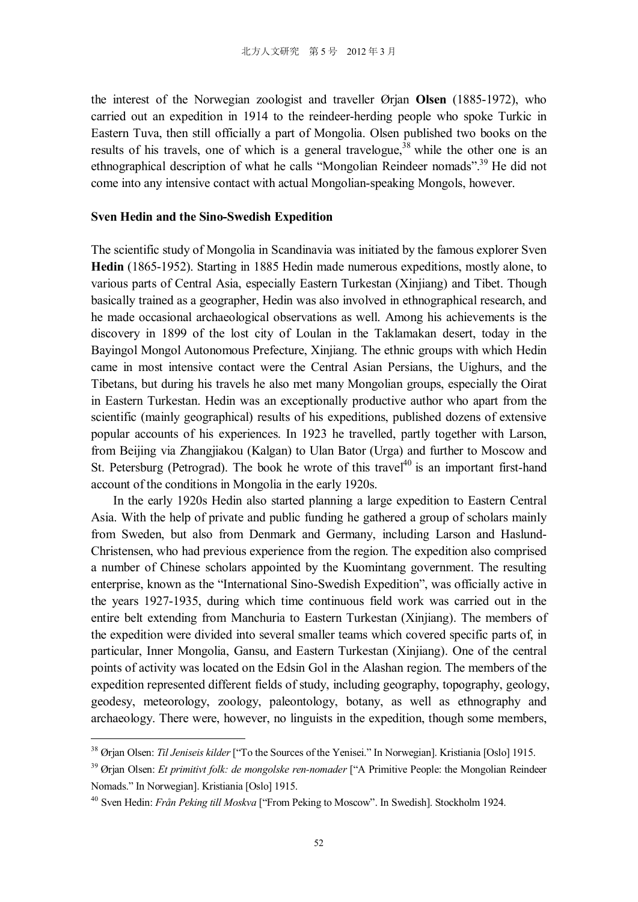the interest of the Norwegian zoologist and traveller Ørjan **Olsen** (1885-1972), who carried out an expedition in 1914 to the reindeer-herding people who spoke Turkic in Eastern Tuva, then still officially a part of Mongolia. Olsen published two books on the results of his travels, one of which is a general travelogue,<sup>38</sup> while the other one is an ethnographical description of what he calls "Mongolian Reindeer nomads".<sup>39</sup> He did not come into any intensive contact with actual Mongolian-speaking Mongols, however.

#### **Sven Hedin and the Sino-Swedish Expedition**

The scientific study of Mongolia in Scandinavia was initiated by the famous explorer Sven **Hedin** (1865-1952). Starting in 1885 Hedin made numerous expeditions, mostly alone, to various parts of Central Asia, especially Eastern Turkestan (Xinjiang) and Tibet. Though basically trained as a geographer, Hedin was also involved in ethnographical research, and he made occasional archaeological observations as well. Among his achievements is the discovery in 1899 of the lost city of Loulan in the Taklamakan desert, today in the Bayingol Mongol Autonomous Prefecture, Xinjiang. The ethnic groups with which Hedin came in most intensive contact were the Central Asian Persians, the Uighurs, and the Tibetans, but during his travels he also met many Mongolian groups, especially the Oirat in Eastern Turkestan. Hedin was an exceptionally productive author who apart from the scientific (mainly geographical) results of his expeditions, published dozens of extensive popular accounts of his experiences. In 1923 he travelled, partly together with Larson, from Beijing via Zhangjiakou (Kalgan) to Ulan Bator (Urga) and further to Moscow and St. Petersburg (Petrograd). The book he wrote of this travel<sup>40</sup> is an important first-hand account of the conditions in Mongolia in the early 1920s.

In the early 1920s Hedin also started planning a large expedition to Eastern Central Asia. With the help of private and public funding he gathered a group of scholars mainly from Sweden, but also from Denmark and Germany, including Larson and Haslund-Christensen, who had previous experience from the region. The expedition also comprised a number of Chinese scholars appointed by the Kuomintang government. The resulting enterprise, known as the "International Sino-Swedish Expedition", was officially active in the years 1927-1935, during which time continuous field work was carried out in the entire belt extending from Manchuria to Eastern Turkestan (Xinjiang). The members of the expedition were divided into several smaller teams which covered specific parts of, in particular, Inner Mongolia, Gansu, and Eastern Turkestan (Xinjiang). One of the central points of activity was located on the Edsin Gol in the Alashan region. The members of the expedition represented different fields of study, including geography, topography, geology, geodesy, meteorology, zoology, paleontology, botany, as well as ethnography and archaeology. There were, however, no linguists in the expedition, though some members,

<sup>&</sup>lt;sup>38</sup> Ørian Olsen: *Til Jeniseis kilder* ["To the Sources of the Yenisei." In Norwegian]. Kristiania [Oslo] 1915.

<sup>&</sup>lt;sup>39</sup> Ørian Olsen: *Et primitivt folk: de mongolske ren-nomader* ["A Primitive People: the Mongolian Reindeer Nomads." In Norwegian]. Kristiania [Oslo] 1915.

<sup>40</sup> Sven Hedin: *Från Peking till Moskva* ["From Peking to Moscow". In Swedish]. Stockholm 1924.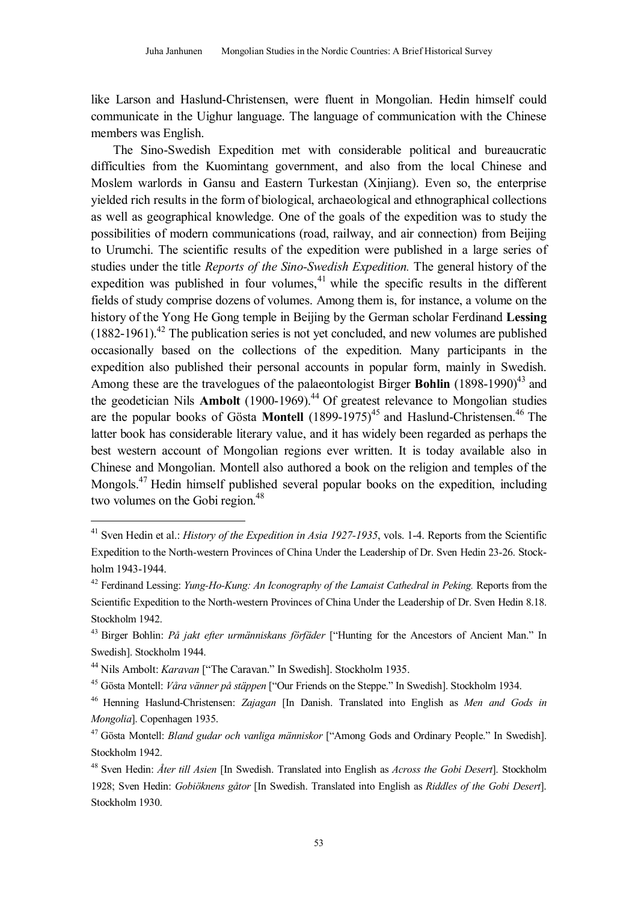like Larson and Haslund-Christensen, were fluent in Mongolian. Hedin himself could communicate in the Uighur language. The language of communication with the Chinese members was English.

The Sino-Swedish Expedition met with considerable political and bureaucratic difficulties from the Kuomintang government, and also from the local Chinese and Moslem warlords in Gansu and Eastern Turkestan (Xinjiang). Even so, the enterprise yielded rich results in the form of biological, archaeological and ethnographical collections as well as geographical knowledge. One of the goals of the expedition was to study the possibilities of modern communications (road, railway, and air connection) from Beijing to Urumchi. The scientific results of the expedition were published in a large series of studies under the title *Reports of the Sino-Swedish Expedition.* The general history of the expedition was published in four volumes, $41$  while the specific results in the different fields of study comprise dozens of volumes. Among them is, for instance, a volume on the history of the Yong He Gong temple in Beijing by the German scholar Ferdinand **Lessing**  $(1882-1961).$ <sup>42</sup> The publication series is not yet concluded, and new volumes are published occasionally based on the collections of the expedition. Many participants in the expedition also published their personal accounts in popular form, mainly in Swedish. Among these are the travelogues of the palaeontologist Birger **Bohlin** (1898-1990)<sup>43</sup> and the geodetician Nils **Ambolt** (1900-1969). <sup>44</sup> Of greatest relevance to Mongolian studies are the popular books of Gösta Montell (1899-1975)<sup>45</sup> and Haslund-Christensen.<sup>46</sup> The latter book has considerable literary value, and it has widely been regarded as perhaps the best western account of Mongolian regions ever written. It is today available also in Chinese and Mongolian. Montell also authored a book on the religion and temples of the Mongols.<sup>47</sup> Hedin himself published several popular books on the expedition, including two volumes on the Gobi region.<sup>48</sup>

<sup>&</sup>lt;sup>41</sup> Sven Hedin et al.: *History of the Expedition in Asia 1927-1935*, vols. 1-4. Reports from the Scientific Expedition to the North-western Provinces of China Under the Leadership of Dr. Sven Hedin 23-26. Stockholm 1943-1944.

<sup>42</sup> Ferdinand Lessing: *Yung-Ho-Kung: An Iconography of the Lamaist Cathedral in Peking.* Reports from the Scientific Expedition to the North-western Provinces of China Under the Leadership of Dr. Sven Hedin 8.18. Stockholm 1942.

<sup>43</sup> Birger Bohlin: *På jakt efter urmänniskans förfäder* ["Hunting for the Ancestors of Ancient Man." In Swedish]. Stockholm 1944.

<sup>44</sup> Nils Ambolt: *Karavan* ["The Caravan." In Swedish]. Stockholm 1935.

<sup>45</sup> Gösta Montell: *Våra vänner på stäppen* ["Our Friends on the Steppe." In Swedish]. Stockholm 1934.

<sup>46</sup> Henning Haslund-Christensen: *Zajagan* [In Danish. Translated into English as *Men and Gods in Mongolia*]. Copenhagen 1935.

<sup>47</sup> Gösta Montell: *Bland gudar och vanliga människor* ["Among Gods and Ordinary People." In Swedish]. Stockholm 1942.

<sup>48</sup> Sven Hedin: *Åter till Asien* [In Swedish. Translated into English as *Across the Gobi Desert*]. Stockholm 1928; Sven Hedin: *Gobiöknens gåtor* [In Swedish. Translated into English as *Riddles of the Gobi Desert*]. Stockholm 1930.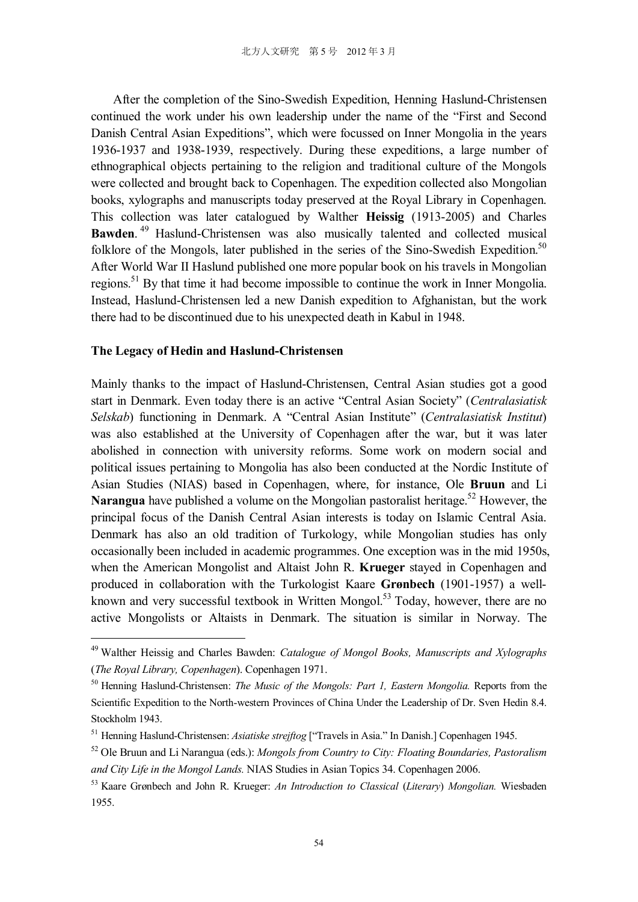After the completion of the Sino-Swedish Expedition, Henning Haslund-Christensen continued the work under his own leadership under the name of the "First and Second Danish Central Asian Expeditions", which were focussed on Inner Mongolia in the years 1936-1937 and 1938-1939, respectively. During these expeditions, a large number of ethnographical objects pertaining to the religion and traditional culture of the Mongols were collected and brought back to Copenhagen. The expedition collected also Mongolian books, xylographs and manuscripts today preserved at the Royal Library in Copenhagen. This collection was later catalogued by Walther **Heissig** (1913-2005) and Charles **Bawden**. <sup>49</sup> Haslund-Christensen was also musically talented and collected musical folklore of the Mongols, later published in the series of the Sino-Swedish Expedition.<sup>50</sup> After World War II Haslund published one more popular book on his travels in Mongolian regions.<sup>51</sup> By that time it had become impossible to continue the work in Inner Mongolia. Instead, Haslund-Christensen led a new Danish expedition to Afghanistan, but the work there had to be discontinued due to his unexpected death in Kabul in 1948.

### **The Legacy of Hedin and Haslund-Christensen**

l

Mainly thanks to the impact of Haslund-Christensen, Central Asian studies got a good start in Denmark. Even today there is an active "Central Asian Society" (*Centralasiatisk Selskab*) functioning in Denmark. A "Central Asian Institute" (*Centralasiatisk Institut*) was also established at the University of Copenhagen after the war, but it was later abolished in connection with university reforms. Some work on modern social and political issues pertaining to Mongolia has also been conducted at the Nordic Institute of Asian Studies (NIAS) based in Copenhagen, where, for instance, Ole **Bruun** and Li **Narangua** have published a volume on the Mongolian pastoralist heritage.<sup>52</sup> However, the principal focus of the Danish Central Asian interests is today on Islamic Central Asia. Denmark has also an old tradition of Turkology, while Mongolian studies has only occasionally been included in academic programmes. One exception was in the mid 1950s, when the American Mongolist and Altaist John R. **Krueger** stayed in Copenhagen and produced in collaboration with the Turkologist Kaare **Grønbech** (1901-1957) a wellknown and very successful textbook in Written Mongol.<sup>53</sup> Today, however, there are no active Mongolists or Altaists in Denmark. The situation is similar in Norway. The

<sup>49</sup> Walther Heissig and Charles Bawden: *Catalogue of Mongol Books, Manuscripts and Xylographs* (*The Royal Library, Copenhagen*). Copenhagen 1971.

<sup>50</sup> Henning Haslund-Christensen: *The Music of the Mongols: Part 1, Eastern Mongolia.* Reports from the Scientific Expedition to the North-western Provinces of China Under the Leadership of Dr. Sven Hedin 8.4. Stockholm 1943.

<sup>51</sup> Henning Haslund-Christensen: *Asiatiske strejftog* ["Travels in Asia." In Danish.] Copenhagen 1945.

<sup>52</sup> Ole Bruun and Li Narangua (eds.): *Mongols from Country to City: Floating Boundaries, Pastoralism and City Life in the Mongol Lands.* NIAS Studies in Asian Topics 34. Copenhagen 2006.

<sup>53</sup> Kaare Grønbech and John R. Krueger: *An Introduction to Classical* (*Literary*) *Mongolian.* Wiesbaden 1955.